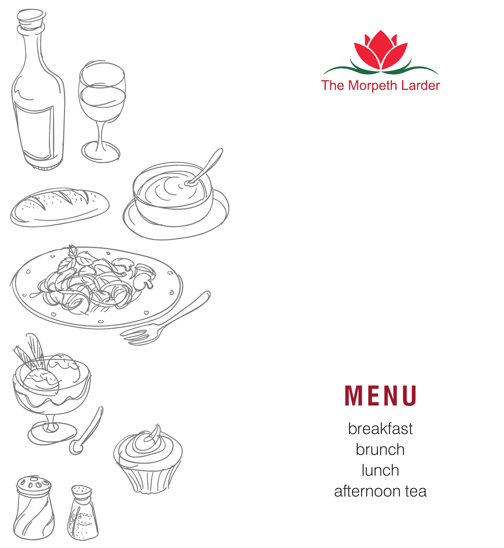





breakfast brunch lunch afternoon tea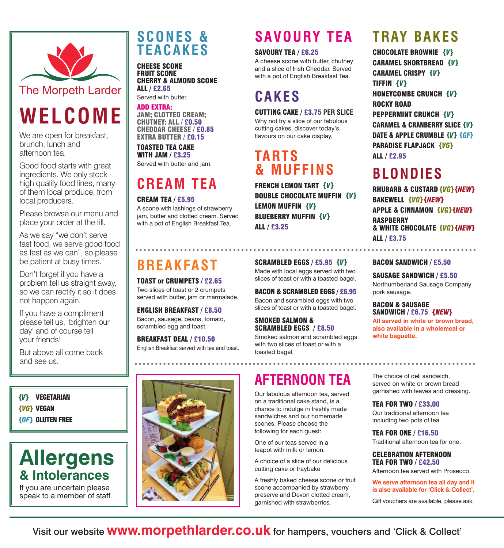

# **WELCOME**

We are open for breakfast, brunch, lunch and afternoon tea.

Good food starts with great ingredients. We only stock high quality food lines, many of them local produce, from local producers.

Please browse our menu and place your order at the till.

As we say "we don't serve fast food, we serve good food as fast as we can", so please be patient at busy times.

Don't forget if you have a problem tell us straight away, so we can rectify it so it does not happen again.

If you have a compliment please tell us, 'brighten our day' and of course tell your friends!

But above all come back and see us.

*{V}* VEGETARIAN *{VG}* VEGAN *{GF}* GLUTEN FREE

## Allergens **Allergens & Intolerances**

We interest and  $\overline{c}$ speak to a member of staff.

### **SCONES & TEACAKES**

CHEESE SCONE FRUIT SCONE CHERRY & ALMOND SCONE ALL / £2.65 Served with butter.

ADD EXTRA: JAM; CLOTTED CREAM; CHUTNEY: ALL / £0.50 CHEDDAR CHEESE / £0.85 EXTRA BUTTER / £0.15

TOASTED TEA CAKE WITH JAM / £3.25 Served with butter and jam.

# **CREAM TEA**

#### CREAM TEA / £5.95

A scone with lashings of strawberry jam, butter and clotted cream. Served with a pot of English Breakfast Tea.

# **BREAKFAST**

TOAST or CRUMPETS / £2.65 Two slices of toast or 2 crumpets served with butter, jam or marmalade.

ENGLISH BREAKFAST / £8.50 Bacon, sausage, beans, tomato, scrambled egg and toast.

BREAKFAST DEAL / £10.50 English Breakfast served with tea and toast.



## **SAVOURY TEA**

### SAVOURY TEA / £6.25

A cheese scone with butter, chutney and a slice of Irish Cheddar. Served with a pot of English Breakfast Tea.

# **CAKES**

### CUTTING CAKE / £3.75 **PER SLICE**

Why not try a slice of our fabulous cutting cakes, discover today's flavours on our cake display.

### **TARTS & MUFFINS**

FRENCH LEMON TART *{V}* DOUBLE CHOCOLATE MUFFIN *{V}* LEMON MUFFIN *{V}* BLUEBERRY MUFFIN *{V}* ALL / £3.25

SCRAMBLED EGGS / £5.95 *{V}* Made with local eggs served with two slices of toast or with a toasted bagel.

BACON & SCRAMBLED EGGS / £6.95 Bacon and scrambled eggs with two slices of toast or with a toasted bagel.

### SMOKED SALMON & SCRAMBLED EGGS / £8.50

Smoked salmon and scrambled eggs with two slices of toast or with a toasted bagel.

## **AFTERNOON TEA**

Our fabulous afternoon tea, served on a traditional cake stand, is a chance to indulge in freshly made sandwiches and our homemade scones. Please choose the following for each guest:

One of our teas served in a teapot with milk or lemon.

A choice of a slice of our delicious cutting cake or traybake

A freshly baked cheese scone or fruit scone accompanied by strawberry preserve and Devon clotted cream, garnished with strawberries.

## **TRAY BAKES**

CHOCOLATE BROWNIE *{V}* CARAMEL SHORTBREAD *{V}* CARAMEL CRISPY *{V}* TIFFIN *{V}* HONEYCOMBE CRUNCH *{V}* ROCKY ROAD PEPPERMINT CRUNCH *{V}* CARAMEL & CRANBERRY SLICE *{V}* DATE & APPLE CRUMBLE *{V} {GF}* PARADISE FLAPJACK *{VG}* ALL / £2.95

# **BLONDIES**

RHUBARB & CUSTARD *{VG}{NEW}* BAKEWELL *{VG}{NEW}* APPLE & CINNAMON *{VG}{NEW}* **RASPBERRY** & WHITE CHOCOLATE *{VG}{NEW}* ALL / £3.75

#### BACON SANDWICH / £5.50

. . . . . . . . . .

SAUSAGE SANDWICH / £5.50 Northumberland Sausage Company pork sausage.

#### BACON & SAUSAGE SANDWICH / £6.75 *{NEW}*

**All served in white or brown bread, also available in a wholemeal or white baguette.** 

The choice of deli sandwich, served on white or brown bread garnished with leaves and dressing.

#### TEA FOR TWO / £33.00

Our traditional afternoon tea including two pots of tea.

TEA FOR ONE / £16.50 Traditional afternoon tea for one.

CELEBRATION AFTERNOON TEA FOR TWO / £42.50

Afternoon tea served with Prosecco.

**We serve afternoon tea all day and it is also available for 'Click & Collect'.**

Gift vouchers are available, please ask.

Visit our website **www.morpethlarder.co.uk** for hampers, vouchers and 'Click & Collect'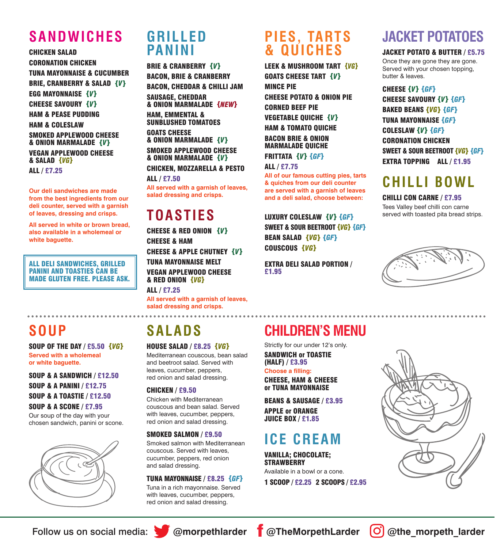## **SANDWICHES**

CHICKEN SALAD CORONATION CHICKEN TUNA MAYONNAISE & CUCUMBER BRIE, CRANBERRY & SALAD *{V}* EGG MAYONNAISE *{V}* CHEESE SAVOURY *{V}* HAM & PEASE PUDDING HAM & COLESLAW SMOKED APPLEWOOD CHEESE & ONION MARMALADE *{V}* VEGAN APPLEWOOD CHEESE & SALAD *{VG}* ALL / £7.25

**Our deli sandwiches are made from the best ingredients from our deli counter, served with a garnish of leaves, dressing and crisps.** 

**All served in white or brown bread, also available in a wholemeal or white baguette.** 

ALL DELI SANDWICHES, GRILLED PANINI AND TOASTIES CAN BE MADE GLUTEN FREE. PLEASE ASK.

### **GRILLED PANINI**

BRIE & CRANBERRY *{V}* BACON, BRIE & CRANBERRY BACON, CHEDDAR & CHILLI JAM SAUSAGE, CHEDDAR & ONION MARMALADE *{NEW}* HAM, EMMENTAL & SUNBLUSHED TOMATOES GOATS CHEESE & ONION MARMALADE *{V}*

SMOKED APPLEWOOD CHEESE & ONION MARMALADE *{V}* CHICKEN, MOZZARELLA & PESTO

ALL / £7.50

**All served with a garnish of leaves, salad dressing and crisps.** 

### **TOASTIES**

CHEESE & RED ONION *{V}* CHEESE & HAM CHEESE & APPLE CHUTNEY *{V}* TUNA MAYONNAISE MELT VEGAN APPLEWOOD CHEESE & RED ONION *{VG}* ALL / £7.25

**All served with a garnish of leaves, salad dressing and crisps.** 

### **PIES, TARTS & QUICHES**

LEEK & MUSHROOM TART *{VG}* GOATS CHEESE TART *{V}* MINCE PIE CHEESE POTATO & ONION PIE CORNED BEEF PIE VEGETABLE QUICHE *{V}* HAM & TOMATO QUICHE BACON BRIE & ONION MARMALADE QUICHE

FRITTATA *{V} {GF}*

ALL / £7.75 **All of our famous cutting pies, tarts & quiches from our deli counter are served with a garnish of leaves**

**and a deli salad, choose between:** LUXURY COLESLAW *{V} {GF}*

SWEET & SOUR BEETROOT *{VG} {GF}* BEAN SALAD *{VG} {GF}* COUSCOUS *{VG}*

EXTRA DELI SALAD PORTION / £1.95

## **JACKET POTATOES**

#### JACKET POTATO & BUTTER / £5.75

Once they are gone they are gone. Served with your chosen topping, butter & leaves.

CHEESE *{V} {GF}* CHEESE SAVOURY *{V} {GF}* BAKED BEANS *{VG} {GF}* TUNA MAYONNAISE *{GF}* COLESLAW *{V} {GF}* CORONATION CHICKEN SWEET & SOUR BEETROOT *{VG} {GF}* EXTRA TOPPING ALL / £1.95

### **CHILLI BOWL**

CHILLI CON CARNE / £7.95 Tees Valley beef chilli con carne served with toasted pita bread strips.



### **SOUP**

SOUP OF THE DAY / £5.50 *{VG}* **Served with a wholemeal or white baguette.** 

SOUP & A SANDWICH / £12.50 SOUP & A PANINI / £12.75 SOUP & A TOASTIE / £12.50 SOUP & A SCONE / £7.95

Our soup of the day with your chosen sandwich, panini or scone.



# **SALADS**

HOUSE SALAD / £8.25 *{VG}* Mediterranean couscous, bean salad and beetroot salad. Served with leaves, cucumber, peppers, red onion and salad dressing.

#### CHICKEN / £9.50

Chicken with Mediterranean couscous and bean salad. Served with leaves, cucumber, peppers, red onion and salad dressing.

#### SMOKED SALMON / £9.50

Smoked salmon with Mediterranean couscous. Served with leaves, cucumber, peppers, red onion and salad dressing.

#### TUNA MAYONNAISE / £8.25 *{GF}*

Tuna in a rich mayonnaise. Served with leaves, cucumber, peppers, red onion and salad dressing.

# **CHILDREN'S MENU**

Strictly for our under 12's only. SANDWICH or TOASTIE

CHEESE, HAM & CHEESE or TUNA MAYONNAISE

BEANS & SAUSAGE / £3.95 APPLE or ORANGE JUICE BOX / £1.85

# **ICE CREAM**

VANILLA; CHOCOLATE; **STRAWBERRY** Available in a bowl or a cone.

1 SCOOP / £2.25 2 SCOOPS / £2.95





(HALF) / £3.95 **Choose a filling:**